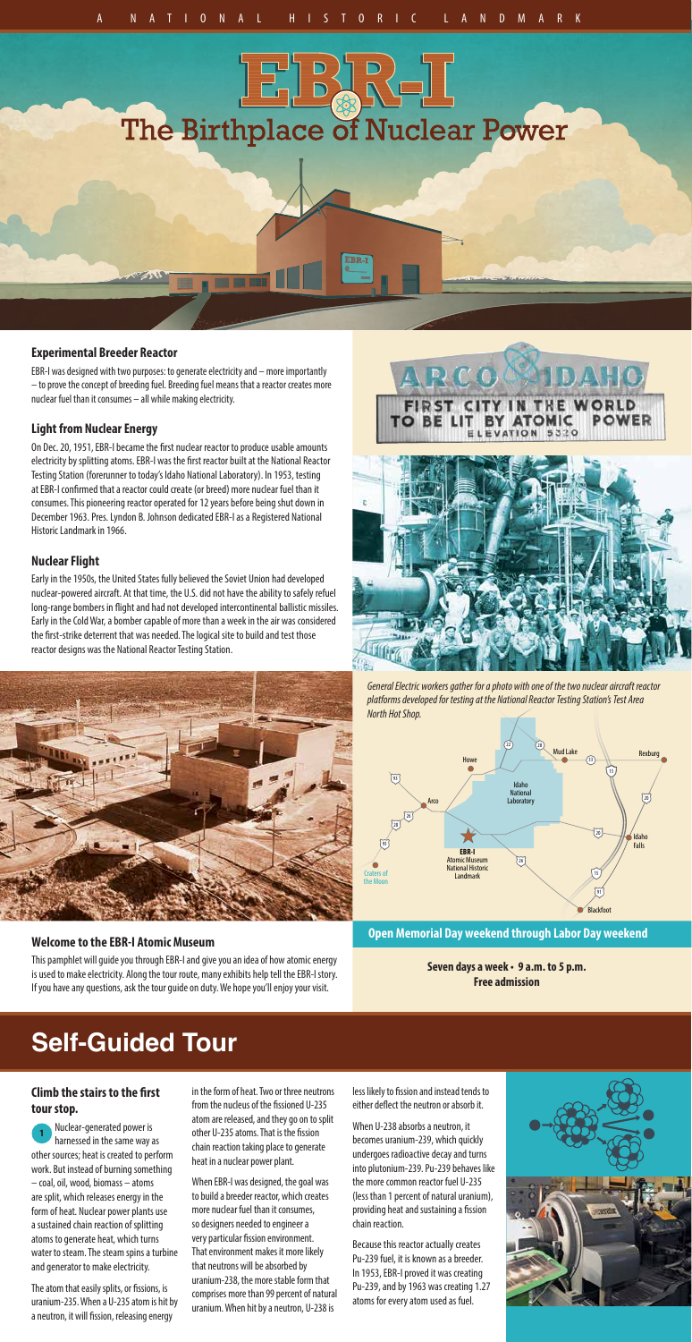

## **Experimental Breeder Reactor**

EBR-I was designed with two purposes: to generate electricity and – more importantly – to prove the concept of breeding fuel. Breeding fuel means that a reactor creates more nuclear fuel than it consumes – all while making electricity.

## **Light from Nuclear Energy**

On Dec. 20, 1951, EBR-I became the first nuclear reactor to produce usable amounts electricity by splitting atoms. EBR-I was the first reactor built at the National Reactor Testing Station (forerunner to today's Idaho National Laboratory). In 1953, testing at EBR-I confirmed that a reactor could create (or breed) more nuclear fuel than it consumes. This pioneering reactor operated for 12 years before being shut down in December 1963. Pres. Lyndon B. Johnson dedicated EBR-I as a Registered National Historic Landmark in 1966.

#### **Nuclear Flight**

Early in the 1950s, the United States fully believed the Soviet Union had developed nuclear-powered aircraft. At that time, the U.S. did not have the ability to safely refuel long-range bombers in flight and had not developed intercontinental ballistic missiles. Early in the Cold War, a bomber capable of more than a week in the air was considered the first-strike deterrent that was needed. The logical site to build and test those reactor designs was the National Reactor Testing Station.



When EBR-I was designed, the goal was to build a breeder reactor, which creates more nuclear fuel than it consumes, so designers needed to engineer a very particular fission environment. That environment makes it more likely that neutrons will be absorbed by uranium-238, the more stable form that comprises more than 99 percent of natural uranium. When hit by a neutron, U-238 is

## **Self-Guided Tour**

## **Climb the stairs to the first tour stop.**

The atom that easily splits, or fissions, is uranium-235. When a U-235 atom is hit by a neutron, it will fission, releasing energy

in the form of heat. Two or three neutrons from the nucleus of the fissioned U-235 atom are released, and they go on to split other U-235 atoms. That is the fission chain reaction taking place to generate heat in a nuclear power plant.

Nuclear-generated power is harnessed in the same way as other sources; heat is created to perform work. But instead of burning something – coal, oil, wood, biomass – atoms are split, which releases energy in the form of heat. Nuclear power plants use a sustained chain reaction of splitting atoms to generate heat, which turns water to steam. The steam spins a turbine and generator to make electricity. **1**

less likely to fission and instead tends to either deflect the neutron or absorb it.

When U-238 absorbs a neutron, it becomes uranium-239, which quickly undergoes radioactive decay and turns into plutonium-239. Pu-239 behaves like the more common reactor fuel U-235 (less than 1 percent of natural uranium), providing heat and sustaining a fission chain reaction.

Because this reactor actually creates Pu-239 fuel, it is known as a breeder. In 1953, EBR-I proved it was creating Pu-239, and by 1963 was creating 1.27 atoms for every atom used as fuel.



*General Electric workers gather for a photo with one of the two nuclear aircraft reactor platforms developed for testing at the National Reactor Testing Station's Test Area North Hot Shop.*



#### **Welcome to the EBR-I Atomic Museum**

This pamphlet will guide you through EBR-I and give you an idea of how atomic energy is used to make electricity. Along the tour route, many exhibits help tell the EBR-I story. If you have any questions, ask the tour guide on duty. We hope you'll enjoy your visit.



**Open Memorial Day weekend through Labor Day weekend**

**Seven days a week • 9 a.m. to 5 p.m. Free admission**